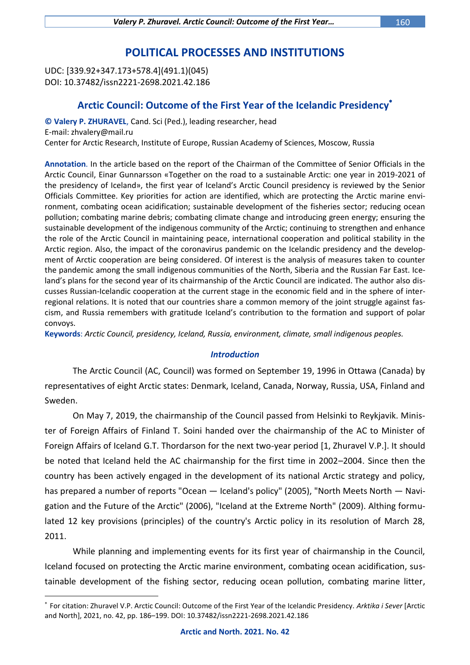# **POLITICAL PROCESSES AND INSTITUTIONS**

UDC: [339.92+347.173+578.4](491.1)(045) DOI: 10.37482/issn2221-2698.2021.42.186

 $\overline{a}$ 

## **Arctic Council: Outcome of the First Year of the Icelandic Presidency**

**© Valery P. ZHURAVEL**, Cand. Sci (Ped.), leading researcher, head E-mail: zhvalery@mail.ru Center for Arctic Research, Institute of Europe, Russian Academy of Sciences, Moscow, Russia

**Annotation**. In the article based on the report of the Chairman of the Committee of Senior Officials in the Arctic Council, Einar Gunnarsson «Together on the road to a sustainable Arctic: one year in 2019-2021 of the presidency of Iceland», the first year of Iceland's Arctic Council presidency is reviewed by the Senior Officials Committee. Key priorities for action are identified, which are protecting the Arctic marine environment, combating ocean acidification; sustainable development of the fisheries sector; reducing ocean pollution; combating marine debris; combating climate change and introducing green energy; ensuring the sustainable development of the indigenous community of the Arctic; continuing to strengthen and enhance the role of the Arctic Council in maintaining peace, international cooperation and political stability in the Arctic region. Also, the impact of the coronavirus pandemic on the Icelandic presidency and the development of Arctic cooperation are being considered. Of interest is the analysis of measures taken to counter the pandemic among the small indigenous communities of the North, Siberia and the Russian Far East. Iceland's plans for the second year of its chairmanship of the Arctic Council are indicated. The author also discusses Russian-Icelandic cooperation at the current stage in the economic field and in the sphere of interregional relations. It is noted that our countries share a common memory of the joint struggle against fascism, and Russia remembers with gratitude Iceland's contribution to the formation and support of polar convoys.

**Keywords**: *Arctic Council, presidency, Iceland, Russia, environment, climate, small indigenous peoples.*

#### *Introduction*

The Arctic Council (AC, Council) was formed on September 19, 1996 in Ottawa (Canada) by representatives of eight Arctic states: Denmark, Iceland, Canada, Norway, Russia, USA, Finland and Sweden.

On May 7, 2019, the chairmanship of the Council passed from Helsinki to Reykjavik. Minister of Foreign Affairs of Finland T. Soini handed over the chairmanship of the AC to Minister of Foreign Affairs of Iceland G.T. Thordarson for the next two-year period [1, Zhuravel V.P.]. It should be noted that Iceland held the AC chairmanship for the first time in 2002–2004. Since then the country has been actively engaged in the development of its national Arctic strategy and policy, has prepared a number of reports "Ocean — Iceland's policy" (2005), "North Meets North — Navigation and the Future of the Arctic" (2006), "Iceland at the Extreme North" (2009). Althing formulated 12 key provisions (principles) of the country's Arctic policy in its resolution of March 28, 2011.

While planning and implementing events for its first year of chairmanship in the Council, Iceland focused on protecting the Arctic marine environment, combating ocean acidification, sustainable development of the fishing sector, reducing ocean pollution, combating marine litter,

For citation: Zhuravel V.P. Arctic Council: Outcome of the First Year of the Icelandic Presidency. *Arktika i Sever* [Arctic and North], 2021, no. 42, pp. 186–199. DOI: 10.37482/issn2221-2698.2021.42.186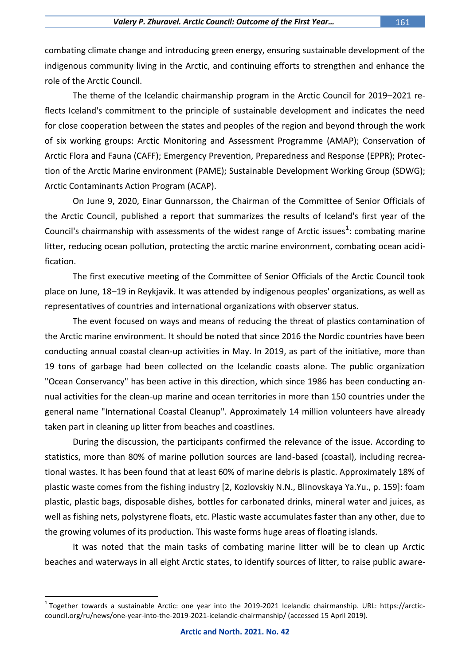combating climate change and introducing green energy, ensuring sustainable development of the indigenous community living in the Arctic, and continuing efforts to strengthen and enhance the role of the Arctic Council.

The theme of the Icelandic chairmanship program in the Arctic Council for 2019–2021 reflects Iceland's commitment to the principle of sustainable development and indicates the need for close cooperation between the states and peoples of the region and beyond through the work of six working groups: [Arctic Monitoring and Assessment Programme](https://arctic-council.org/www/en/about/working-groups/amap/) (AMAP); Conservation of Arctic Flora and Fauna (CAFF); [Emergency Prevention, Preparedness and Response](https://arctic-council.org/www/en/about/working-groups/eppr/) (EPPR); Protection of the Arctic Marine environment (PAME); [Sustainable Development Working Group](https://arctic-council.org/www/en/about/working-groups/sdwg/) (SDWG); [Arctic Contaminants Action Program](https://arctic-council.org/www/en/about/working-groups/acap/) (ACAP).

On June 9, 2020, Einar Gunnarsson, the Chairman of the Committee of Senior Officials of the Arctic Council, published a report that summarizes the results of Iceland's first year of the Council's chairmanship with assessments of the widest range of Arctic issues<sup>1</sup>: combating marine litter, reducing ocean pollution, protecting the arctic marine environment, combating ocean acidification.

The first executive meeting of the Committee of Senior Officials of the Arctic Council took place on June, 18–19 in Reykjavik. It was attended by indigenous peoples' organizations, as well as representatives of countries and international organizations with observer status.

The event focused on ways and means of reducing the threat of plastics contamination of the Arctic marine environment. It should be noted that since 2016 the Nordic countries have been conducting annual coastal clean-up activities in May. In 2019, as part of the initiative, more than 19 tons of garbage had been collected on the Icelandic coasts alone. The public organization "Ocean Conservancy" has been active in this direction, which since 1986 has been conducting annual activities for the clean-up marine and ocean territories in more than 150 countries under the general name "International Coastal Cleanup". Approximately 14 million volunteers have already taken part in cleaning up litter from beaches and coastlines.

During the discussion, the participants confirmed the relevance of the issue. According to statistics, more than 80% of marine pollution sources are land-based (coastal), including recreational wastes. It has been found that at least 60% of marine debris is plastic. Approximately 18% of plastic waste comes from the fishing industry [2, Kozlovskiy N.N., Blinovskaya Ya.Yu., p. 159]: foam plastic, plastic bags, disposable dishes, bottles for carbonated drinks, mineral water and juices, as well as fishing nets, polystyrene floats, etc. Plastic waste accumulates faster than any other, due to the growing volumes of its production. This waste forms huge areas of floating islands.

It was noted that the main tasks of combating marine litter will be to clean up Arctic beaches and waterways in all eight Arctic states, to identify sources of litter, to raise public aware-

<sup>&</sup>lt;sup>1</sup> Together towards a sustainable Arctic: one year into the 2019-2021 Icelandic chairmanship. URL: https://arcticcouncil.org/ru/news/one-year-into-the-2019-2021-icelandic-chairmanship/ (accessed 15 April 2019).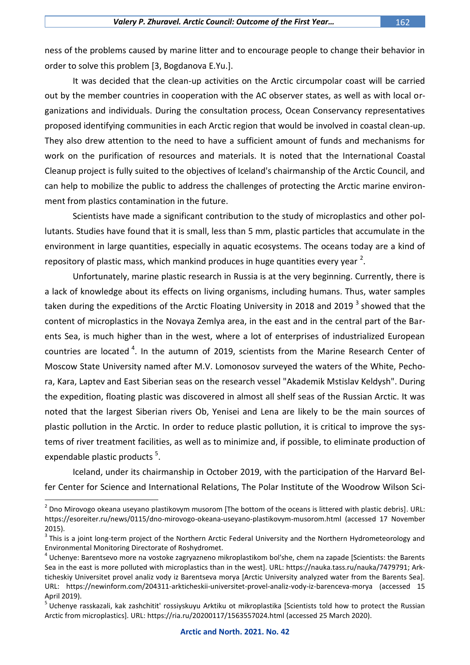ness of the problems caused by marine litter and to encourage people to change their behavior in order to solve this problem [3, Bogdanova E.Yu.].

It was decided that the clean-up activities on the Arctic circumpolar coast will be carried out by the member countries in cooperation with the AC observer states, as well as with local organizations and individuals. During the consultation process, Ocean Conservancy representatives proposed identifying communities in each Arctic region that would be involved in coastal clean-up. They also drew attention to the need to have a sufficient amount of funds and mechanisms for work on the purification of resources and materials. It is noted that the International Coastal Cleanup project is fully suited to the objectives of Iceland's chairmanship of the Arctic Council, and can help to mobilize the public to address the challenges of protecting the Arctic marine environment from plastics contamination in the future.

Scientists have made a significant contribution to the study of microplastics and other pollutants. Studies have found that it is small, less than 5 mm, plastic particles that accumulate in the environment in large quantities, especially in aquatic ecosystems. The oceans today are a kind of repository of plastic mass, which mankind produces in huge quantities every year  $^2$ .

Unfortunately, marine plastic research in Russia is at the very beginning. Currently, there is a lack of knowledge about its effects on living organisms, including humans. Thus, water samples taken during the expeditions of the Arctic Floating University in 2018 and 2019 <sup>3</sup> showed that the content of microplastics in the Novaya Zemlya area, in the east and in the central part of the Barents Sea, is much higher than in the west, where a lot of enterprises of industrialized European countries are located  $4$ . In the autumn of 2019, scientists from the Marine Research Center of Moscow State University named after M.V. Lomonosov surveyed the waters of the White, Pechora, Kara, Laptev and East Siberian seas on the research vessel "Akademik Mstislav Keldysh". During the expedition, floating plastic was discovered in almost all shelf seas of the Russian Arctic. It was noted that the largest Siberian rivers Ob, Yenisei and Lena are likely to be the main sources of plastic pollution in the Arctic. In order to reduce plastic pollution, it is critical to improve the systems of river treatment facilities, as well as to minimize and, if possible, to eliminate production of expendable plastic products<sup>5</sup>.

Iceland, under its chairmanship in October 2019, with the participation of the Harvard Belfer Center for Science and International Relations, The Polar Institute of the Woodrow Wilson Sci-

 $^2$  Dno Mirovogo okeana useyano plastikovym musorom [The bottom of the oceans is littered with plastic debris]. URL: <https://esoreiter.ru/news/0115/dno-mirovogo-okeana-useyano-plastikovym-musorom.html> (accessed 17 November 2015).

 $3$  This is a joint long-term project of the Northern Arctic Federal University and the Northern Hydrometeorology and Environmental Monitoring Directorate of Roshydromet.

<sup>4</sup> Uchenye: Barentsevo more na vostoke zagryazneno mikroplastikom bol'she, chem na zapade [Scientists: the Barents Sea in the east is more polluted with microplastics than in the west]. URL: [https://nauka.tass.ru/nauka/7479791;](https://nauka.tass.ru/nauka/7479791) Arkticheskiy Universitet provel analiz vody iz Barentseva morya [Arctic University analyzed water from the Barents Sea]. URL: <https://newinform.com/204311-arkticheskii-universitet-provel-analiz-vody-iz-barenceva-morya> (accessed 15 April 2019).

<sup>&</sup>lt;sup>5</sup> Uchenye rasskazali, kak zashchitit' rossiyskuyu Arktiku ot mikroplastika [Scientists told how to protect the Russian Arctic from microplastics]. URL[: https://ria.ru/20200117/1563557024.html](https://ria.ru/20200117/1563557024.html) (accessed 25 March 2020).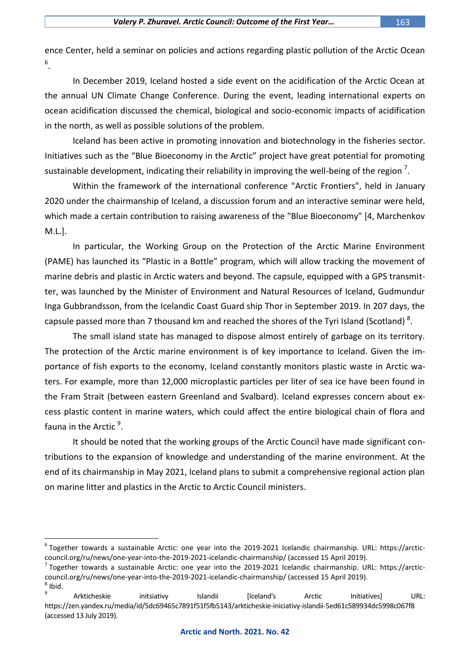ence Center, held a seminar on policies and actions regarding plastic pollution of the Arctic Ocean 6 .

In December 2019, Iceland hosted a side event on the acidification of the Arctic Ocean at the annual UN Climate Change Conference. During the event, leading international experts on ocean acidification discussed the chemical, biological and socio-economic impacts of acidification in the north, as well as possible solutions of the problem.

Iceland has been active in promoting innovation and biotechnology in the fisheries sector. Initiatives such as the "Blue Bioeconomy in the Arctic" project have great potential for promoting sustainable development, indicating their reliability in improving the well-being of the region  $^7$ .

Within the framework of the international conference "Arctic Frontiers", held in January 2020 under the chairmanship of Iceland, a discussion forum and an interactive seminar were held, which made a certain contribution to raising awareness of the "Blue Bioeconomy" [4, Marchenkov M.L.].

In particular, the Working Group on the Protection of the Arctic Marine Environment (PAME) has launched its "Plastic in a Bottle" program, which will allow tracking the movement of marine debris and plastic in Arctic waters and beyond. The capsule, equipped with a GPS transmitter, was launched by the Minister of Environment and Natural Resources of Iceland, Gudmundur Inga Gubbrandsson, from the Icelandic Coast Guard ship Thor in September 2019. In 207 days, the capsule passed more than 7 thousand km and reached the shores of the Tyri Island (Scotland)  $^{8}$ .

The small island state has managed to dispose almost entirely of garbage on its territory. The protection of the Arctic marine environment is of key importance to Iceland. Given the importance of fish exports to the economy, Iceland constantly monitors plastic waste in Arctic waters. For example, more than 12,000 microplastic particles per liter of sea ice have been found in the Fram Strait (between eastern Greenland and Svalbard). Iceland expresses concern about excess plastic content in marine waters, which could affect the entire biological chain of flora and fauna in the Arctic <sup>9</sup>.

It should be noted that the working groups of the Arctic Council have made significant contributions to the expansion of knowledge and understanding of the marine environment. At the end of its chairmanship in May 2021, Iceland plans to submit a comprehensive regional action plan on marine litter and plastics in the Arctic to Arctic Council ministers.

<sup>6</sup> Together towards a sustainable Arctic: one year into the 2019-2021 Icelandic chairmanship. URL: https://arcticcouncil.org/ru/news/one-year-into-the-2019-2021-icelandic-chairmanship/ (accessed 15 April 2019).

<sup>&</sup>lt;sup>7</sup> Together towards a sustainable Arctic: one year into the 2019-2021 Icelandic chairmanship. URL: https://arcticcouncil.org/ru/news/one-year-into-the-2019-2021-icelandic-chairmanship/ (accessed 15 April 2019). 8 Ibid.

<sup>9</sup> Arkticheskie initsiativy Islandii [Iceland's Arctic Initiatives] URL: https://zen.yandex.ru/media/id/5dc69465c7891f51f5fb5143/arkticheskie-iniciativy-islandii-5ed61c589934dc5998c067f8 (accessed 13 July 2019).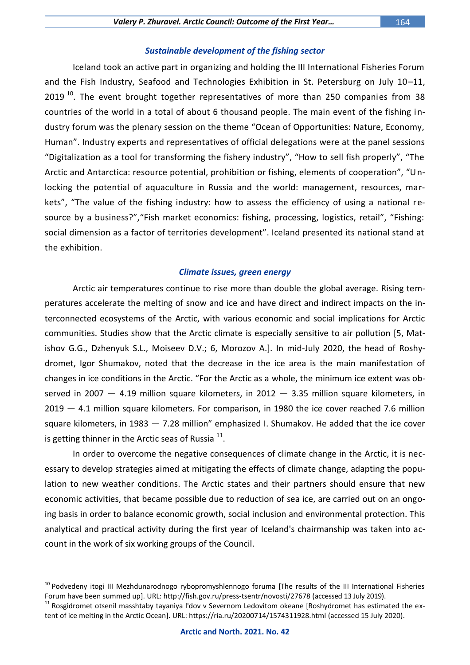Iceland took an active part in organizing and holding the III International Fisheries Forum and the Fish Industry, Seafood and Technologies Exhibition in St. Petersburg on July 10–11,  $2019<sup>10</sup>$ . The event brought together representatives of more than 250 companies from 38 countries of the world in a total of about 6 thousand people. The main event of the fishing industry forum was the plenary session on the theme "Ocean of Opportunities: Nature, Economy, Human". Industry experts and representatives of official delegations were at the panel sessions "Digitalization as a tool for transforming the fishery industry", "How to sell fish properly", "The Arctic and Antarctica: resource potential, prohibition or fishing, elements of cooperation", "Unlocking the potential of aquaculture in Russia and the world: management, resources, markets", "The value of the fishing industry: how to assess the efficiency of using a national resource by a business?", "Fish market economics: fishing, processing, logistics, retail", "Fishing: social dimension as a factor of territories development". Iceland presented its national stand at the exhibition.

#### *Climate issues, green energy*

Arctic air temperatures continue to rise more than double the global average. Rising temperatures accelerate the melting of snow and ice and have direct and indirect impacts on the interconnected ecosystems of the Arctic, with various economic and social implications for Arctic communities. Studies show that the Arctic climate is especially sensitive to air pollution [5, Matishov G.G., Dzhenyuk S.L., Moiseev D.V.; 6, Morozov A.]. In mid-July 2020, the head of Roshydromet, Igor Shumakov, noted that the decrease in the ice area is the main manifestation of changes in ice conditions in the Arctic. "For the Arctic as a whole, the minimum ice extent was observed in 2007  $-$  4.19 million square kilometers, in 2012  $-$  3.35 million square kilometers, in 2019 — 4.1 million square kilometers. For comparison, in 1980 the ice cover reached 7.6 million square kilometers, in 1983 — 7.28 million" emphasized I. Shumakov. He added that the ice cover is getting thinner in the Arctic seas of Russia  $^{11}$ .

In order to overcome the negative consequences of climate change in the Arctic, it is necessary to develop strategies aimed at mitigating the effects of climate change, adapting the population to new weather conditions. The Arctic states and their partners should ensure that new economic activities, that became possible due to reduction of sea ice, are carried out on an ongoing basis in order to balance economic growth, social inclusion and environmental protection. This analytical and practical activity during the first year of Iceland's chairmanship was taken into account in the work of six working groups of the Council.

<sup>&</sup>lt;sup>10</sup> Podvedeny itogi III Mezhdunarodnogo rybopromyshlennogo foruma [The results of the III International Fisheries Forum have been summed up]. URL: http://fish.gov.ru/press-tsentr/novosti/27678 (accessed 13 July 2019).

<sup>&</sup>lt;sup>11</sup> Rosgidromet otsenil masshtaby tayaniya l'dov v Severnom Ledovitom okeane [Roshydromet has estimated the extent of ice melting in the Arctic Ocean]. URL:<https://ria.ru/20200714/1574311928.html> (accessed 15 July 2020).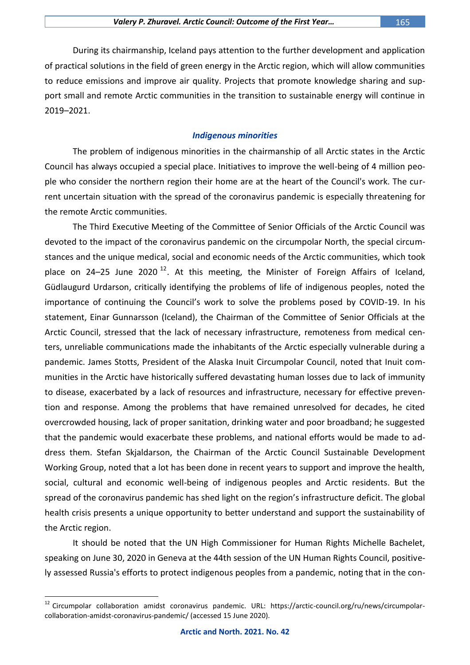During its chairmanship, Iceland pays attention to the further development and application of practical solutions in the field of green energy in the Arctic region, which will allow communities to reduce emissions and improve air quality. Projects that promote knowledge sharing and support small and remote Arctic communities in the transition to sustainable energy will continue in 2019–2021.

#### *Indigenous minorities*

The problem of indigenous minorities in the chairmanship of all Arctic states in the Arctic Council has always occupied a special place. Initiatives to improve the well-being of 4 million people who consider the northern region their home are at the heart of the Council's work. The current uncertain situation with the spread of the coronavirus pandemic is especially threatening for the remote Arctic communities.

The Third Executive Meeting of the Committee of Senior Officials of the Arctic Council was devoted to the impact of the coronavirus pandemic on the circumpolar North, the special circumstances and the unique medical, social and economic needs of the Arctic communities, which took place on 24–25 June 2020<sup>12</sup>. At this meeting, the Minister of Foreign Affairs of Iceland, Güdlaugurd Urdarson, critically identifying the problems of life of indigenous peoples, noted the importance of continuing the Council's work to solve the problems posed by COVID-19. In his statement, Einar Gunnarsson (Iceland), the Chairman of the Committee of Senior Officials at the Arctic Council, stressed that the lack of necessary infrastructure, remoteness from medical centers, unreliable communications made the inhabitants of the Arctic especially vulnerable during a pandemic. James Stotts, President of the Alaska Inuit Circumpolar Council, noted that Inuit communities in the Arctic have historically suffered devastating human losses due to lack of immunity to disease, exacerbated by a lack of resources and infrastructure, necessary for effective prevention and response. Among the problems that have remained unresolved for decades, he cited overcrowded housing, lack of proper sanitation, drinking water and poor broadband; he suggested that the pandemic would exacerbate these problems, and national efforts would be made to address them. Stefan Skjaldarson, the Chairman of the Arctic Council Sustainable Development Working Group, noted that a lot has been done in recent years to support and improve the health, social, cultural and economic well-being of indigenous peoples and Arctic residents. But the spread of the coronavirus pandemic has shed light on the region's infrastructure deficit. The global health crisis presents a unique opportunity to better understand and support the sustainability of the Arctic region.

It should be noted that the UN High Commissioner for Human Rights Michelle Bachelet, speaking on June 30, 2020 in Geneva at the 44th session of the UN Human Rights Council, positively assessed Russia's efforts to protect indigenous peoples from a pandemic, noting that in the con-

<sup>12</sup> Circumpolar collaboration amidst coronavirus pandemic. URL: https://arctic-council.org/ru/news/circumpolarcollaboration-amidst-coronavirus-pandemic/ (accessed 15 June 2020).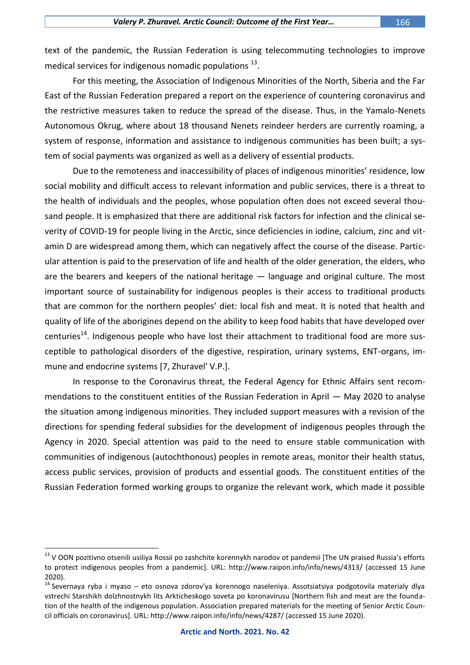text of the pandemic, the Russian Federation is using telecommuting technologies to improve medical services for indigenous nomadic populations  $^{13}$ .

For this meeting, the Association of Indigenous Minorities of the North, Siberia and the Far East of the Russian Federation prepared a report on the experience of countering coronavirus and the restrictive measures taken to reduce the spread of the disease. Thus, in the Yamalo-Nenets Autonomous Okrug, where about 18 thousand Nenets reindeer herders are currently roaming, a system of response, information and assistance to indigenous communities has been built; a system of social payments was organized as well as a delivery of essential products.

Due to the remoteness and inaccessibility of places of indigenous minorities' residence, low social mobility and difficult access to relevant information and public services, there is a threat to the health of individuals and the peoples, whose population often does not exceed several thousand people. It is emphasized that there are additional risk factors for infection and the clinical severity of COVID-19 for people living in the Arctic, since deficiencies in iodine, calcium, zinc and vitamin D are widespread among them, which can negatively affect the course of the disease. Particular attention is paid to the preservation of life and health of the older generation, the elders, who are the bearers and keepers of the national heritage — language and original culture. The most important source of sustainability for indigenous peoples is their access to traditional products that are common for the northern peoples' diet: local fish and meat. It is noted that health and quality of life of the aborigines depend on the ability to keep food habits that have developed over centuries<sup>14</sup>. Indigenous people who have lost their attachment to traditional food are more susceptible to pathological disorders of the digestive, respiration, urinary systems, ENT-organs, immune and endocrine systems [7, Zhuravel' V.P.].

In response to the Coronavirus threat, the Federal Agency for Ethnic Affairs sent recommendations to the constituent entities of the Russian Federation in April — May 2020 to analyse the situation among indigenous minorities. They included support measures with a revision of the directions for spending federal subsidies for the development of indigenous peoples through the Agency in 2020. Special attention was paid to the need to ensure stable communication with communities of indigenous (autochthonous) peoples in remote areas, monitor their health status, access public services, provision of products and essential goods. The constituent entities of the Russian Federation formed working groups to organize the relevant work, which made it possible

<sup>&</sup>lt;sup>13</sup> V OON pozitivno otsenili usiliya Rossii po zashchite korennykh narodov ot pandemii [The UN praised Russia's efforts to protect indigenous peoples from a pandemic]. URL:<http://www.raipon.info/info/news/4313/> (accessed 15 June 2020).

<sup>&</sup>lt;sup>14</sup> Severnaya ryba i myaso – eto osnova zdorov'ya korennogo naseleniya. Assotsiatsiya podgotovila materialy dlya vstrechi Starshikh dolzhnostnykh lits Arkticheskogo soveta po koronavirusu [Northern fish and meat are the foundation of the health of the indigenous population. Association prepared materials for the meeting of Senior Arctic Council officials on coronavirus]. URL: http://www.raipon.info/info/news/4287/ (accessed 15 June 2020).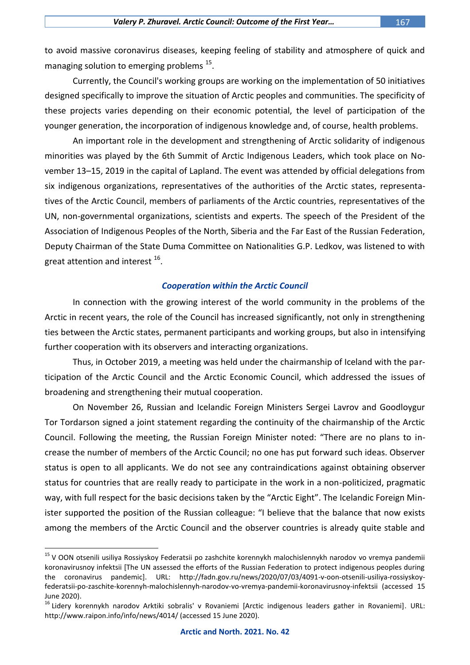to avoid massive coronavirus diseases, keeping feeling of stability and atmosphere of quick and managing solution to emerging problems <sup>15</sup>.

Currently, the Council's working groups are working on the implementation of 50 initiatives designed specifically to improve the situation of Arctic peoples and communities. The specificity of these projects varies depending on their economic potential, the level of participation of the younger generation, the incorporation of indigenous knowledge and, of course, health problems.

An important role in the development and strengthening of Arctic solidarity of indigenous minorities was played by the 6th Summit of Arctic Indigenous Leaders, which took place on November 13–15, 2019 in the capital of Lapland. The event was attended by official delegations from six indigenous organizations, representatives of the authorities of the Arctic states, representatives of the Arctic Council, members of parliaments of the Arctic countries, representatives of the UN, non-governmental organizations, scientists and experts. The speech of the President of the Association of Indigenous Peoples of the North, Siberia and the Far East of the Russian Federation, Deputy Chairman of the State Duma Committee on Nationalities G.P. Ledkov, was listened to with great attention and interest  $^{16}$ .

#### *Cooperation within the Arctic Council*

In connection with the growing interest of the world community in the problems of the Arctic in recent years, the role of the Council has increased significantly, not only in strengthening ties between the Arctic states, permanent participants and working groups, but also in intensifying further cooperation with its observers and interacting organizations.

Thus, in October 2019, a meeting was held under the chairmanship of Iceland with the participation of the Arctic Council and the Arctic Economic Council, which addressed the issues of broadening and strengthening their mutual cooperation.

On November 26, Russian and Icelandic Foreign Ministers Sergei Lavrov and Goodloygur Tor Tordarson signed a joint statement regarding the continuity of the chairmanship of the Arctic Council. Following the meeting, the Russian Foreign Minister noted: "There are no plans to increase the number of members of the Arctic Council; no one has put forward such ideas. Observer status is open to all applicants. We do not see any contraindications against obtaining observer status for countries that are really ready to participate in the work in a non-politicized, pragmatic way, with full respect for the basic decisions taken by the "Arctic Eight". The Icelandic Foreign Minister supported the position of the Russian colleague: "I believe that the balance that now exists among the members of the Arctic Council and the observer countries is already quite stable and

<sup>&</sup>lt;sup>15</sup> V OON otsenili usiliya Rossiyskoy Federatsii po zashchite korennykh malochislennykh narodov vo vremya pandemii koronavirusnoy infektsii [The UN assessed the efforts of the Russian Federation to protect indigenous peoples during the coronavirus pandemic]. URL: [http://fadn.gov.ru/news/2020/07/03/4091-v-oon-otsenili-usiliya-rossiyskoy](http://fadn.gov.ru/news/2020/07/03/4091-v-oon-otsenili-usiliya-rossiyskoy-federatsii-po-zaschite-korennyh-malochislennyh-narodov-vo-vremya-pandemii-koronavirusnoy-infektsii)[federatsii-po-zaschite-korennyh-malochislennyh-narodov-vo-vremya-pandemii-koronavirusnoy-infektsii](http://fadn.gov.ru/news/2020/07/03/4091-v-oon-otsenili-usiliya-rossiyskoy-federatsii-po-zaschite-korennyh-malochislennyh-narodov-vo-vremya-pandemii-koronavirusnoy-infektsii) (accessed 15 June 2020).

<sup>&</sup>lt;sup>16</sup> Lidery korennykh narodov Arktiki sobralis' v Rovaniemi [Arctic indigenous leaders gather in Rovaniemi]. URL: http://www.raipon.info/info/news/4014/ (accessed 15 June 2020).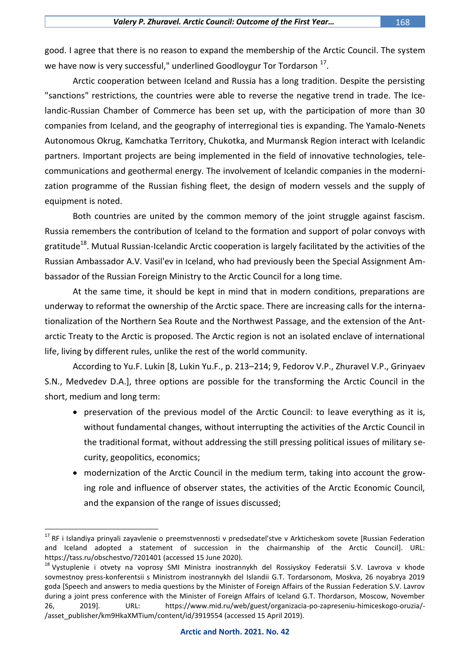good. I agree that there is no reason to expand the membership of the Arctic Council. The system we have now is very successful," underlined Goodloygur Tor Tordarson  $^{17}$ .

Arctic cooperation between Iceland and Russia has a long tradition. Despite the persisting "sanctions" restrictions, the countries were able to reverse the negative trend in trade. The Icelandic-Russian Chamber of Commerce has been set up, with the participation of more than 30 companies from Iceland, and the geography of interregional ties is expanding. The Yamalo-Nenets Autonomous Okrug, Kamchatka Territory, Chukotka, and Murmansk Region interact with Icelandic partners. Important projects are being implemented in the field of innovative technologies, telecommunications and geothermal energy. The involvement of Icelandic companies in the modernization programme of the Russian fishing fleet, the design of modern vessels and the supply of equipment is noted.

Both countries are united by the common memory of the joint struggle against fascism. Russia remembers the contribution of Iceland to the formation and support of polar convoys with gratitude<sup>18</sup>. Mutual Russian-Icelandic Arctic cooperation is largely facilitated by the activities of the Russian Ambassador A.V. Vasil'ev in Iceland, who had previously been the Special Assignment Ambassador of the Russian Foreign Ministry to the Arctic Council for a long time.

At the same time, it should be kept in mind that in modern conditions, preparations are underway to reformat the ownership of the Arctic space. There are increasing calls for the internationalization of the Northern Sea Route and the Northwest Passage, and the extension of the Antarctic Treaty to the Arctic is proposed. The Arctic region is not an isolated enclave of international life, living by different rules, unlike the rest of the world community.

According to Yu.F. Lukin [8, Lukin Yu.F., p. 213–214; 9, Fedorov V.P., Zhuravel V.P., Grinyaev S.N., Medvedev D.A.], three options are possible for the transforming the Arctic Council in the short, medium and long term:

- preservation of the previous model of the Arctic Council: to leave everything as it is, without fundamental changes, without interrupting the activities of the Arctic Council in the traditional format, without addressing the still pressing political issues of military security, geopolitics, economics;
- modernization of the Arctic Council in the medium term, taking into account the growing role and influence of observer states, the activities of the Arctic Economic Council, and the expansion of the range of issues discussed;

<sup>&</sup>lt;sup>17</sup> RF i Islandiya prinyali zayavlenie o preemstvennosti v predsedatel'stve v Arkticheskom sovete [Russian Federation and Iceland adopted a statement of succession in the chairmanship of the Arctic Council]. URL: <https://tass.ru/obschestvo/7201401> (accessed 15 June 2020).

<sup>&</sup>lt;sup>18</sup> Vystuplenie i otvety na voprosy SMI Ministra inostrannykh del Rossiyskoy Federatsii S.V. Lavrova v khode sovmestnoy press-konferentsii s Ministrom inostrannykh del Islandii G.T. Tordarsonom, Moskva, 26 noyabrya 2019 goda [Speech and answers to media questions by the Minister of Foreign Affairs of the Russian Federation S.V. Lavrov during a joint press conference with the Minister of Foreign Affairs of Iceland G.T. Thordarson, Moscow, November 26, 2019]. URL: https://www.mid.ru/web/guest/organizacia-po-zapreseniu-himiceskogo-oruzia/- /asset\_publisher/km9HkaXMTium/content/id/3919554 (accessed 15 April 2019).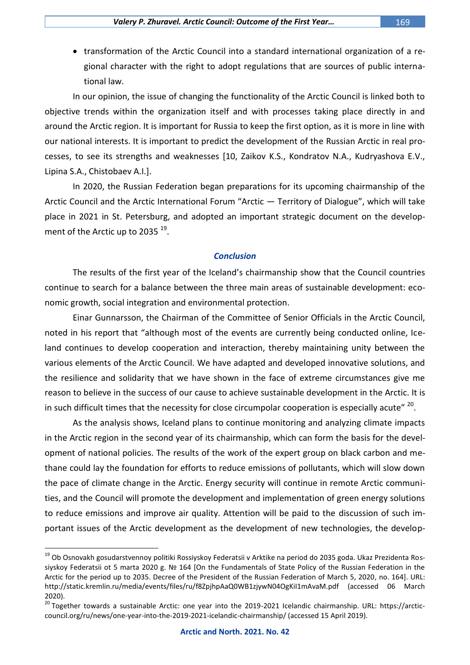• transformation of the Arctic Council into a standard international organization of a regional character with the right to adopt regulations that are sources of public international law.

In our opinion, the issue of changing the functionality of the Arctic Council is linked both to objective trends within the organization itself and with processes taking place directly in and around the Arctic region. It is important for Russia to keep the first option, as it is more in line with our national interests. It is important to predict the development of the Russian Arctic in real processes, to see its strengths and weaknesses [10, Zaikov K.S., Kondratov N.A., Kudryashova E.V., Lipina S.A., Chistobaev A.I.].

In 2020, the Russian Federation began preparations for its upcoming chairmanship of the Arctic Council and the Arctic International Forum "Arctic — Territory of Dialogue", which will take place in 2021 in St. Petersburg, and adopted an important strategic document on the development of the Arctic up to 2035  $^{\rm 19}.$ 

#### *Conclusion*

The results of the first year of the Iceland's chairmanship show that the Council countries continue to search for a balance between the three main areas of sustainable development: economic growth, social integration and environmental protection.

Einar Gunnarsson, the Chairman of the Committee of Senior Officials in the Arctic Council, noted in his report that "although most of the events are currently being conducted online, Iceland continues to develop cooperation and interaction, thereby maintaining unity between the various elements of the Arctic Council. We have adapted and developed innovative solutions, and the resilience and solidarity that we have shown in the face of extreme circumstances give me reason to believe in the success of our cause to achieve sustainable development in the Arctic. It is in such difficult times that the necessity for close circumpolar cooperation is especially acute"  $^{20}$ .

As the analysis shows, Iceland plans to continue monitoring and analyzing climate impacts in the Arctic region in the second year of its chairmanship, which can form the basis for the development of national policies. The results of the work of the expert group on black carbon and methane could lay the foundation for efforts to reduce emissions of pollutants, which will slow down the pace of climate change in the Arctic. Energy security will continue in remote Arctic communities, and the Council will promote the development and implementation of green energy solutions to reduce emissions and improve air quality. Attention will be paid to the discussion of such important issues of the Arctic development as the development of new technologies, the develop-

<sup>&</sup>lt;sup>19</sup> Ob Osnovakh gosudarstvennoy politiki Rossiyskoy Federatsii v Arktike na period do 2035 goda. Ukaz Prezidenta Rossiyskoy Federatsii ot 5 marta 2020 g. Nº 164 [On the Fundamentals of State Policy of the Russian Federation in the Arctic for the period up to 2035. Decree of the President of the Russian Federation of March 5, 2020, no. 164]. URL: http://static.kremlin.ru/media/events/files/ru/f8ZpjhpAaQ0WB1zjywN04OgKiI1mAvaM.pdf (accessed 06 March 2020).

<sup>&</sup>lt;sup>20</sup> Together towards a sustainable Arctic: one year into the 2019-2021 Icelandic chairmanship. URL: https://arcticcouncil.org/ru/news/one-year-into-the-2019-2021-icelandic-chairmanship/ (accessed 15 April 2019).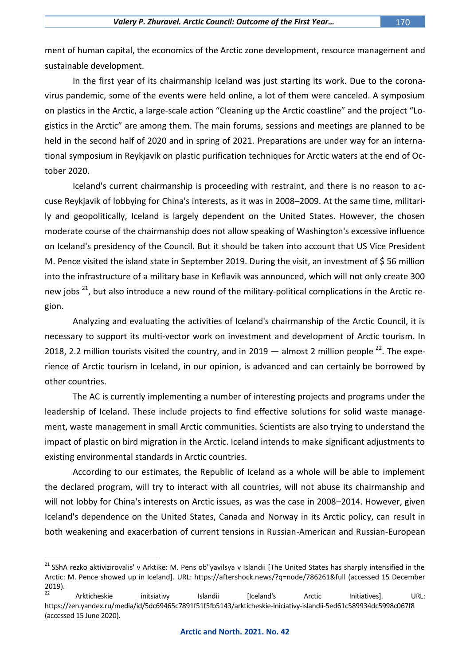ment of human capital, the economics of the Arctic zone development, resource management and sustainable development.

In the first year of its chairmanship Iceland was just starting its work. Due to the coronavirus pandemic, some of the events were held online, a lot of them were canceled. A symposium on plastics in the Arctic, a large-scale action "Cleaning up the Arctic coastline" and the project "Logistics in the Arctic" are among them. The main forums, sessions and meetings are planned to be held in the second half of 2020 and in spring of 2021. Preparations are under way for an international symposium in Reykjavik on plastic purification techniques for Arctic waters at the end of October 2020.

Iceland's current chairmanship is proceeding with restraint, and there is no reason to accuse Reykjavik of lobbying for China's interests, as it was in 2008–2009. At the same time, militarily and geopolitically, Iceland is largely dependent on the United States. However, the chosen moderate course of the chairmanship does not allow speaking of Washington's excessive influence on Iceland's presidency of the Council. But it should be taken into account that US Vice President M. Pence visited the island state in September 2019. During the visit, an investment of \$ 56 million into the infrastructure of a military base in Keflavik was announced, which will not only create 300 new jobs <sup>21</sup>, but also introduce a new round of the military-political complications in the Arctic region.

Analyzing and evaluating the activities of Iceland's chairmanship of the Arctic Council, it is necessary to support its multi-vector work on investment and development of Arctic tourism. In 2018, 2.2 million tourists visited the country, and in 2019  $-$  almost 2 million people  $^{22}$ . The experience of Arctic tourism in Iceland, in our opinion, is advanced and can certainly be borrowed by other countries.

The AC is currently implementing a number of interesting projects and programs under the leadership of Iceland. These include projects to find effective solutions for solid waste management, waste management in small Arctic communities. Scientists are also trying to understand the impact of plastic on bird migration in the Arctic. Iceland intends to make significant adjustments to existing environmental standards in Arctic countries.

According to our estimates, the Republic of Iceland as a whole will be able to implement the declared program, will try to interact with all countries, will not abuse its chairmanship and will not lobby for China's interests on Arctic issues, as was the case in 2008–2014. However, given Iceland's dependence on the United States, Canada and Norway in its Arctic policy, can result in both weakening and exacerbation of current tensions in Russian-American and Russian-European

<sup>&</sup>lt;sup>21</sup> SShA rezko aktivizirovalis' v Arktike: M. Pens ob"yavilsya v Islandii [The United States has sharply intensified in the Arctic: M. Pence showed up in Iceland]. URL:<https://aftershock.news/?q=node/786261&full> (accessed 15 December 2019).

<sup>&</sup>lt;sup>22</sup> Arkticheskie initsiativy Islandii [Iceland's Arctic Initiatives]. URL: <https://zen.yandex.ru/media/id/5dc69465c7891f51f5fb5143/arkticheskie-iniciativy-islandii-5ed61c589934dc5998c067f8> (accessed 15 June 2020).